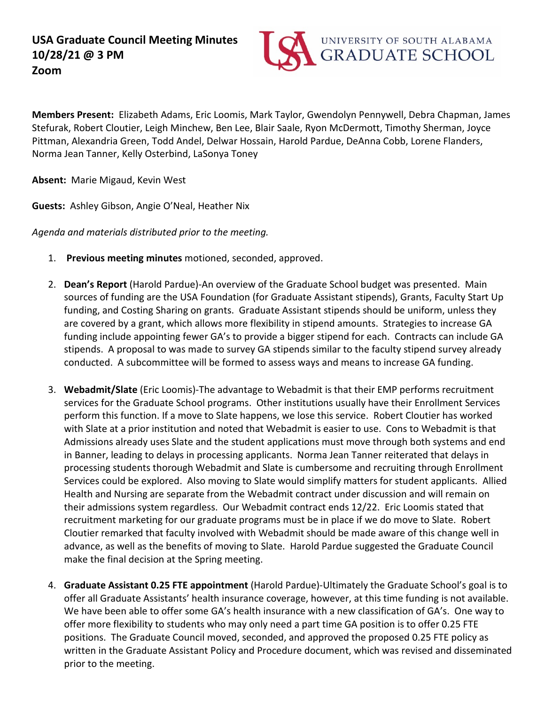

 **Members Present:** Elizabeth Adams, Eric Loomis, Mark Taylor, Gwendolyn Pennywell, Debra Chapman, James Stefurak, Robert Cloutier, Leigh Minchew, Ben Lee, Blair Saale, Ryon McDermott, Timothy Sherman, Joyce Pittman, Alexandria Green, Todd Andel, Delwar Hossain, Harold Pardue, DeAnna Cobb, Lorene Flanders, Norma Jean Tanner, Kelly Osterbind, LaSonya Toney

**Absent:** Marie Migaud, Kevin West

**Guests:** Ashley Gibson, Angie O'Neal, Heather Nix

*Agenda and materials distributed prior to the meeting.* 

- 1. **Previous meeting minutes** motioned, seconded, approved.
- are covered by a grant, which allows more flexibility in stipend amounts. Strategies to increase GA funding include appointing fewer GA's to provide a bigger stipend for each. Contracts can include GA stipends. A proposal to was made to survey GA stipends similar to the faculty stipend survey already conducted. A subcommittee will be formed to assess ways and means to increase GA funding. 2. **Dean's Report** (Harold Pardue)-An overview of the Graduate School budget was presented. Main sources of funding are the USA Foundation (for Graduate Assistant stipends), Grants, Faculty Start Up funding, and Costing Sharing on grants. Graduate Assistant stipends should be uniform, unless they
- conducted. A subcommittee will be formed to assess ways and means to increase GA funding. 3. **Webadmit/Slate** (Eric Loomis)-The advantage to Webadmit is that their EMP performs recruitment services for the Graduate School programs. Other institutions usually have their Enrollment Services perform this function. If a move to Slate happens, we lose this service. Robert Cloutier has worked with Slate at a prior institution and noted that Webadmit is easier to use. Cons to Webadmit is that in Banner, leading to delays in processing applicants. Norma Jean Tanner reiterated that delays in advance, as well as the benefits of moving to Slate. Harold Pardue suggested the Graduate Council Admissions already uses Slate and the student applications must move through both systems and end processing students thorough Webadmit and Slate is cumbersome and recruiting through Enrollment Services could be explored. Also moving to Slate would simplify matters for student applicants. Allied Health and Nursing are separate from the Webadmit contract under discussion and will remain on their admissions system regardless. Our Webadmit contract ends 12/22. Eric Loomis stated that recruitment marketing for our graduate programs must be in place if we do move to Slate. Robert Cloutier remarked that faculty involved with Webadmit should be made aware of this change well in make the final decision at the Spring meeting.
- offer all Graduate Assistants' health insurance coverage, however, at this time funding is not available. offer more flexibility to students who may only need a part time GA position is to offer 0.25 FTE positions. The Graduate Council moved, seconded, and approved the proposed 0.25 FTE policy as prior to the meeting. 4. **Graduate Assistant 0.25 FTE appointment** (Harold Pardue)-Ultimately the Graduate School's goal is to We have been able to offer some GA's health insurance with a new classification of GA's. One way to written in the Graduate Assistant Policy and Procedure document, which was revised and disseminated